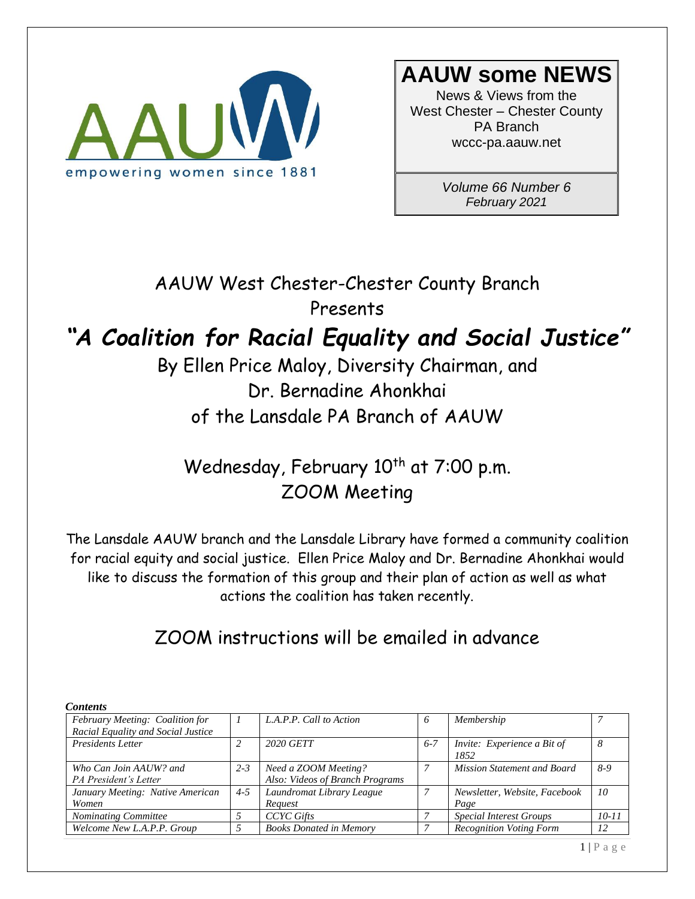

# **AAUW some NEWS**

News & Views from the West Chester – Chester County PA Branch wccc-pa.aauw.net

> *Volume 66 Number 6 February 2021*

AAUW West Chester-Chester County Branch Presents

# *"A Coalition for Racial Equality and Social Justice"*

By Ellen Price Maloy, Diversity Chairman, and Dr. Bernadine Ahonkhai of the Lansdale PA Branch of AAUW

Wednesday, February 10<sup>th</sup> at 7:00 p.m. ZOOM Meeting

The Lansdale AAUW branch and the Lansdale Library have formed a community coalition for racial equity and social justice. Ellen Price Maloy and Dr. Bernadine Ahonkhai would like to discuss the formation of this group and their plan of action as well as what actions the coalition has taken recently.

ZOOM instructions will be emailed in advance

| <b>Contents</b>                    |         |                                 |         |                                    |                 |
|------------------------------------|---------|---------------------------------|---------|------------------------------------|-----------------|
| February Meeting: Coalition for    |         | L.A.P.P. Call to Action         | 6       | Membership                         |                 |
| Racial Equality and Social Justice |         |                                 |         |                                    |                 |
| <b>Presidents Letter</b>           | C       | 2020 GETT                       | $6 - 7$ | Invite: Experience a Bit of        |                 |
|                                    |         |                                 |         | 1852                               |                 |
| Who Can Join AAUW? and             | $2 - 3$ | Need a ZOOM Meeting?            |         | <b>Mission Statement and Board</b> | $8-9$           |
| PA President's Letter              |         | Also: Videos of Branch Programs |         |                                    |                 |
| January Meeting: Native American   | $4 - 5$ | Laundromat Library League       | 7       | Newsletter, Website, Facebook      | 10 <sup>2</sup> |
| Women                              |         | Request                         |         | Page                               |                 |
| <b>Nominating Committee</b>        |         | <b>CCYC</b> Gifts               |         | <b>Special Interest Groups</b>     | $10 - 11$       |
| Welcome New L.A.P.P. Group         |         | <b>Books Donated in Memory</b>  |         | <b>Recognition Voting Form</b>     | 12              |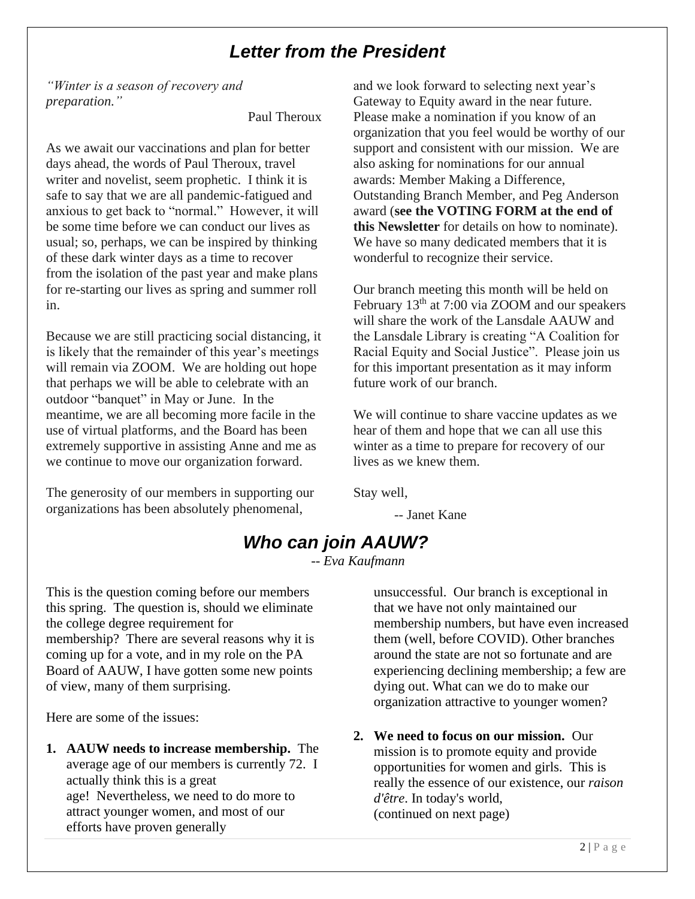## *Letter from the President*

*"Winter is a season of recovery and preparation."* 

Paul Theroux

As we await our vaccinations and plan for better days ahead, the words of Paul Theroux, travel writer and novelist, seem prophetic. I think it is safe to say that we are all pandemic-fatigued and anxious to get back to "normal." However, it will be some time before we can conduct our lives as usual; so, perhaps, we can be inspired by thinking of these dark winter days as a time to recover from the isolation of the past year and make plans for re-starting our lives as spring and summer roll in.

Because we are still practicing social distancing, it is likely that the remainder of this year's meetings will remain via ZOOM. We are holding out hope that perhaps we will be able to celebrate with an outdoor "banquet" in May or June. In the meantime, we are all becoming more facile in the use of virtual platforms, and the Board has been extremely supportive in assisting Anne and me as we continue to move our organization forward.

The generosity of our members in supporting our organizations has been absolutely phenomenal,

and we look forward to selecting next year's Gateway to Equity award in the near future. Please make a nomination if you know of an organization that you feel would be worthy of our support and consistent with our mission. We are also asking for nominations for our annual awards: Member Making a Difference, Outstanding Branch Member, and Peg Anderson award (**see the VOTING FORM at the end of this Newsletter** for details on how to nominate). We have so many dedicated members that it is wonderful to recognize their service.

Our branch meeting this month will be held on February 13<sup>th</sup> at 7:00 via ZOOM and our speakers will share the work of the Lansdale AAUW and the Lansdale Library is creating "A Coalition for Racial Equity and Social Justice". Please join us for this important presentation as it may inform future work of our branch.

We will continue to share vaccine updates as we hear of them and hope that we can all use this winter as a time to prepare for recovery of our lives as we knew them.

Stay well,

-- Janet Kane

# *Who can join AAUW?*

*-- Eva Kaufmann*

This is the question coming before our members this spring. The question is, should we eliminate the college degree requirement for membership? There are several reasons why it is coming up for a vote, and in my role on the PA Board of AAUW, I have gotten some new points of view, many of them surprising.

Here are some of the issues:

**1. AAUW needs to increase membership.** The average age of our members is currently 72. I actually think this is a great age! Nevertheless, we need to do more to attract younger women, and most of our efforts have proven generally

unsuccessful. Our branch is exceptional in that we have not only maintained our membership numbers, but have even increased them (well, before COVID). Other branches around the state are not so fortunate and are experiencing declining membership; a few are dying out. What can we do to make our organization attractive to younger women?

**2. We need to focus on our mission.** Our mission is to promote equity and provide opportunities for women and girls. This is really the essence of our existence, our *raison d'être*. In today's world, (continued on next page)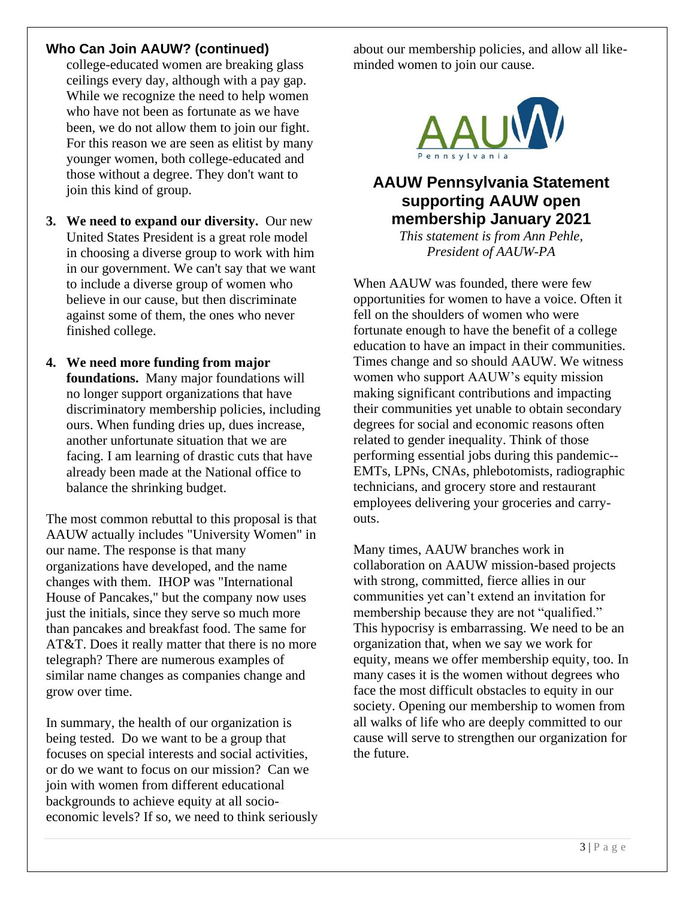#### **Who Can Join AAUW? (continued)**

college-educated women are breaking glass ceilings every day, although with a pay gap. While we recognize the need to help women who have not been as fortunate as we have been, we do not allow them to join our fight. For this reason we are seen as elitist by many younger women, both college-educated and those without a degree. They don't want to join this kind of group.

- **3. We need to expand our diversity.** Our new United States President is a great role model in choosing a diverse group to work with him in our government. We can't say that we want to include a diverse group of women who believe in our cause, but then discriminate against some of them, the ones who never finished college.
- **4. We need more funding from major foundations.** Many major foundations will no longer support organizations that have discriminatory membership policies, including ours. When funding dries up, dues increase, another unfortunate situation that we are facing. I am learning of drastic cuts that have already been made at the National office to balance the shrinking budget.

The most common rebuttal to this proposal is that AAUW actually includes "University Women" in our name. The response is that many organizations have developed, and the name changes with them. IHOP was "International House of Pancakes," but the company now uses just the initials, since they serve so much more than pancakes and breakfast food. The same for AT&T. Does it really matter that there is no more telegraph? There are numerous examples of similar name changes as companies change and grow over time.

In summary, the health of our organization is being tested. Do we want to be a group that focuses on special interests and social activities, or do we want to focus on our mission? Can we join with women from different educational backgrounds to achieve equity at all socioeconomic levels? If so, we need to think seriously

about our membership policies, and allow all likeminded women to join our cause.



### **AAUW Pennsylvania Statement supporting AAUW open membership January 2021**

*This statement is from Ann Pehle, President of AAUW-PA*

When AAUW was founded, there were few opportunities for women to have a voice. Often it fell on the shoulders of women who were fortunate enough to have the benefit of a college education to have an impact in their communities. Times change and so should AAUW. We witness women who support AAUW's equity mission making significant contributions and impacting their communities yet unable to obtain secondary degrees for social and economic reasons often related to gender inequality. Think of those performing essential jobs during this pandemic-- EMTs, LPNs, CNAs, phlebotomists, radiographic technicians, and grocery store and restaurant employees delivering your groceries and carryouts.

Many times, AAUW branches work in collaboration on AAUW mission-based projects with strong, committed, fierce allies in our communities yet can't extend an invitation for membership because they are not "qualified." This hypocrisy is embarrassing. We need to be an organization that, when we say we work for equity, means we offer membership equity, too. In many cases it is the women without degrees who face the most difficult obstacles to equity in our society. Opening our membership to women from all walks of life who are deeply committed to our cause will serve to strengthen our organization for the future.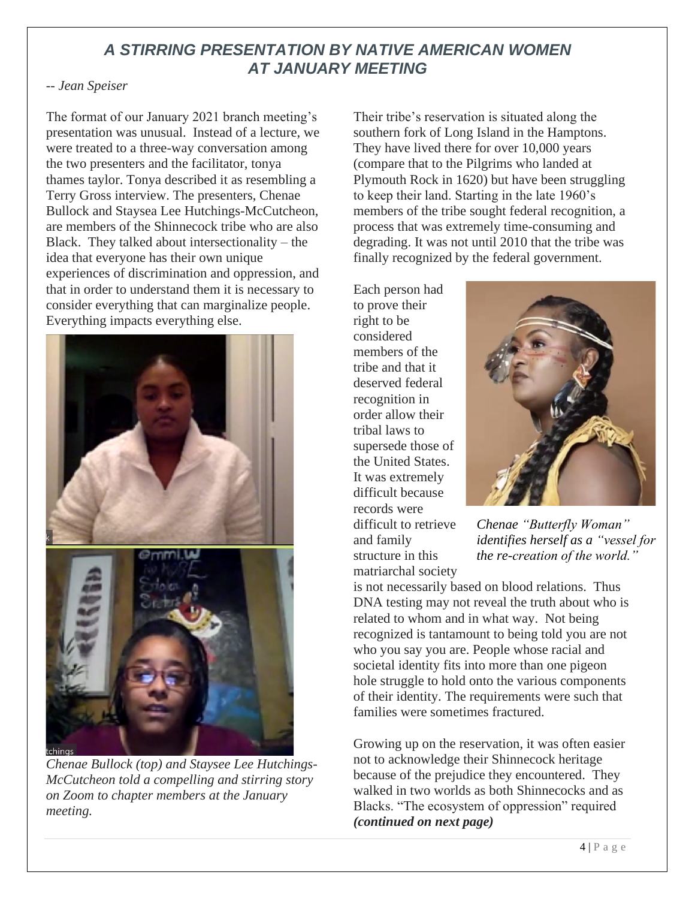### *A STIRRING PRESENTATION BY NATIVE AMERICAN WOMEN AT JANUARY MEETING*

#### *-- Jean Speiser*

The format of our January 2021 branch meeting's presentation was unusual. Instead of a lecture, we were treated to a three-way conversation among the two presenters and the facilitator, tonya thames taylor. Tonya described it as resembling a Terry Gross interview. The presenters, Chenae Bullock and Staysea Lee Hutchings-McCutcheon, are members of the Shinnecock tribe who are also Black. They talked about intersectionality – the idea that everyone has their own unique experiences of discrimination and oppression, and that in order to understand them it is necessary to consider everything that can marginalize people. Everything impacts everything else.



*Chenae Bullock (top) and Staysee Lee Hutchings-McCutcheon told a compelling and stirring story on Zoom to chapter members at the January meeting.*

Their tribe's reservation is situated along the southern fork of Long Island in the Hamptons. They have lived there for over 10,000 years (compare that to the Pilgrims who landed at Plymouth Rock in 1620) but have been struggling to keep their land. Starting in the late 1960's members of the tribe sought federal recognition, a process that was extremely time-consuming and degrading. It was not until 2010 that the tribe was finally recognized by the federal government.

Each person had to prove their right to be considered members of the tribe and that it deserved federal recognition in order allow their tribal laws to supersede those of the United States. It was extremely difficult because records were difficult to retrieve and family structure in this matriarchal society



*Chenae "Butterfly Woman" identifies herself as a "vessel for the re-creation of the world."*

is not necessarily based on blood relations. Thus DNA testing may not reveal the truth about who is related to whom and in what way. Not being recognized is tantamount to being told you are not who you say you are. People whose racial and societal identity fits into more than one pigeon hole struggle to hold onto the various components of their identity. The requirements were such that families were sometimes fractured.

Growing up on the reservation, it was often easier not to acknowledge their Shinnecock heritage because of the prejudice they encountered. They walked in two worlds as both Shinnecocks and as Blacks. "The ecosystem of oppression" required *(continued on next page)*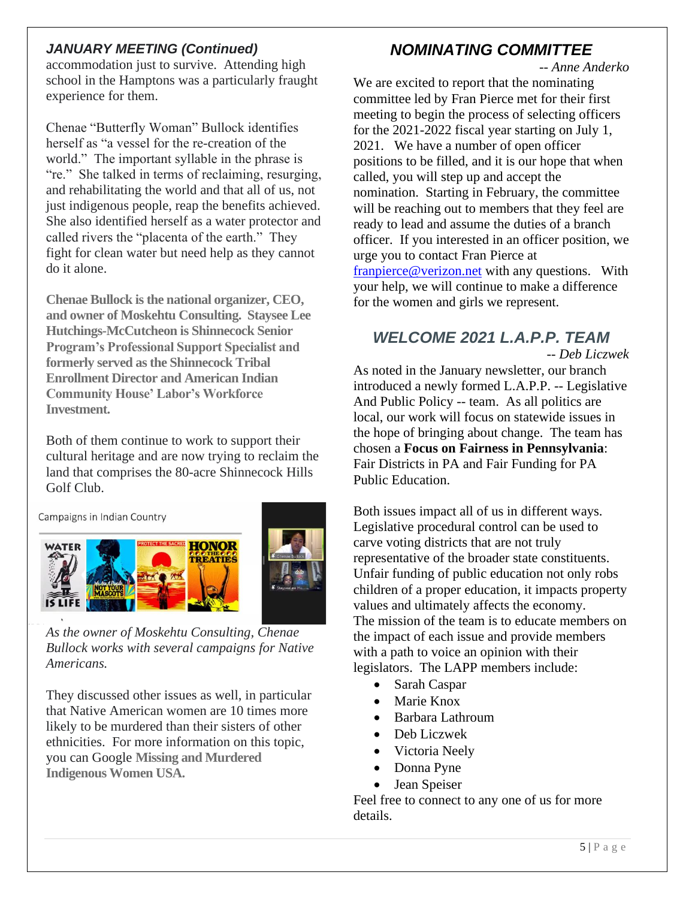#### *JANUARY MEETING (Continued)*

accommodation just to survive. Attending high school in the Hamptons was a particularly fraught experience for them.

Chenae "Butterfly Woman" Bullock identifies herself as "a vessel for the re-creation of the world." The important syllable in the phrase is "re." She talked in terms of reclaiming, resurging, and rehabilitating the world and that all of us, not just indigenous people, reap the benefits achieved. She also identified herself as a water protector and called rivers the "placenta of the earth." They fight for clean water but need help as they cannot do it alone.

**Chenae Bullock is the national organizer, CEO, and owner of Moskehtu Consulting. Staysee Lee Hutchings-McCutcheon is Shinnecock Senior Program's Professional Support Specialist and formerly served as the Shinnecock Tribal Enrollment Director and American Indian Community House' Labor's Workforce Investment.**

Both of them continue to work to support their cultural heritage and are now trying to reclaim the land that comprises the 80-acre Shinnecock Hills Golf Club.

Campaigns in Indian Country





*As the owner of Moskehtu Consulting, Chenae Bullock works with several campaigns for Native Americans.*

They discussed other issues as well, in particular that Native American women are 10 times more likely to be murdered than their sisters of other ethnicities. For more information on this topic, you can Google **Missing and Murdered Indigenous Women USA.**

### *NOMINATING COMMITTEE*

*-- Anne Anderko* 

We are excited to report that the nominating committee led by Fran Pierce met for their first meeting to begin the process of selecting officers for the 2021-2022 fiscal year starting on July 1, 2021. We have a number of open officer positions to be filled, and it is our hope that when called, you will step up and accept the nomination. Starting in February, the committee will be reaching out to members that they feel are ready to lead and assume the duties of a branch officer. If you interested in an officer position, we urge you to contact Fran Pierce at franpierce@verizon.net with any questions. With your help, we will continue to make a difference for the women and girls we represent.

### *WELCOME 2021 L.A.P.P. TEAM*

*-- Deb Liczwek* As noted in the January newsletter, our branch introduced a newly formed L.A.P.P. -- Legislative And Public Policy -- team. As all politics are local, our work will focus on statewide issues in the hope of bringing about change. The team has chosen a **Focus on Fairness in Pennsylvania**: Fair Districts in PA and Fair Funding for PA Public Education.

Both issues impact all of us in different ways. Legislative procedural control can be used to carve voting districts that are not truly representative of the broader state constituents. Unfair funding of public education not only robs children of a proper education, it impacts property values and ultimately affects the economy. The mission of the team is to educate members on the impact of each issue and provide members with a path to voice an opinion with their legislators. The LAPP members include:

- Sarah Caspar
- Marie Knox
- Barbara Lathroum
- Deb Liczwek
- Victoria Neely
- Donna Pyne
- Jean Speiser

Feel free to connect to any one of us for more details.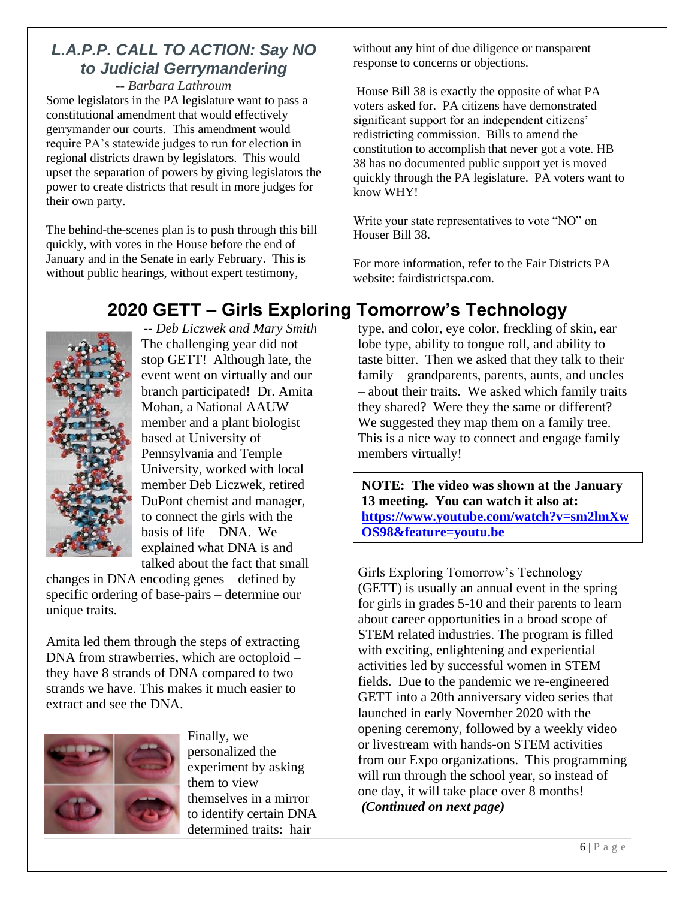### *L.A.P.P. CALL TO ACTION: Say NO to Judicial Gerrymandering*

*-- Barbara Lathroum*

Some legislators in the PA legislature want to pass a constitutional amendment that would effectively gerrymander our courts. This amendment would require PA's statewide judges to run for election in regional districts drawn by legislators. This would upset the separation of powers by giving legislators the power to create districts that result in more judges for their own party.

The behind-the-scenes plan is to push through this bill quickly, with votes in the House before the end of January and in the Senate in early February. This is without public hearings, without expert testimony,

without any hint of due diligence or transparent response to concerns or objections.

House Bill 38 is exactly the opposite of what PA voters asked for. PA citizens have demonstrated significant support for an independent citizens' redistricting commission. Bills to amend the constitution to accomplish that never got a vote. HB 38 has no documented public support yet is moved quickly through the PA legislature. PA voters want to know WHY!

Write your state representatives to vote "NO" on Houser Bill 38.

For more information, refer to the Fair Districts PA website: fairdistrictspa.com.

# **2020 GETT – Girls Exploring Tomorrow's Technology**



*-- Deb Liczwek and Mary Smith* The challenging year did not stop GETT! Although late, the event went on virtually and our branch participated! Dr. Amita Mohan, a National AAUW member and a plant biologist based at University of Pennsylvania and Temple University, worked with local member Deb Liczwek, retired DuPont chemist and manager, to connect the girls with the basis of life – DNA. We explained what DNA is and talked about the fact that small

changes in DNA encoding genes – defined by specific ordering of base-pairs – determine our unique traits.

Amita led them through the steps of extracting DNA from strawberries, which are octoploid – they have 8 strands of DNA compared to two strands we have. This makes it much easier to extract and see the DNA.



Finally, we personalized the experiment by asking them to view themselves in a mirror to identify certain DNA determined traits: hair

type, and color, eye color, freckling of skin, ear lobe type, ability to tongue roll, and ability to taste bitter. Then we asked that they talk to their family – grandparents, parents, aunts, and uncles – about their traits. We asked which family traits they shared? Were they the same or different? We suggested they map them on a family tree. This is a nice way to connect and engage family members virtually!

**NOTE: The video was shown at the January 13 meeting. You can watch it also at: https://www.youtube.com/watch?v=sm2lmXw OS98&feature=youtu.be**

Girls Exploring Tomorrow's Technology (GETT) is usually an annual event in the spring for girls in grades 5-10 and their parents to learn about career opportunities in a broad scope of STEM related industries. The program is filled with exciting, enlightening and experiential activities led by successful women in STEM fields. Due to the pandemic we re-engineered GETT into a 20th anniversary video series that launched in early November 2020 with the opening ceremony, followed by a weekly video or livestream with hands-on STEM activities from our Expo organizations. This programming will run through the school year, so instead of one day, it will take place over 8 months! *(Continued on next page)*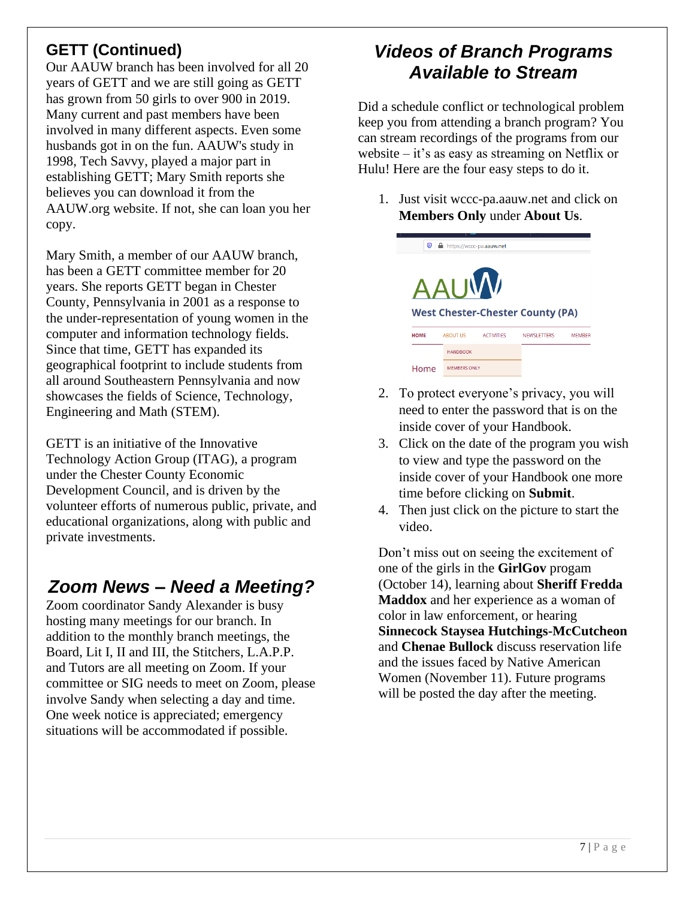## **GETT (Continued)**

Our AAUW branch has been involved for all 20 years of GETT and we are still going as GETT has grown from 50 girls to over 900 in 2019. Many current and past members have been involved in many different aspects. Even some husbands got in on the fun. AAUW's study in 1998, Tech Savvy, played a major part in establishing GETT; Mary Smith reports she believes you can download it from the AAUW.org website. If not, she can loan you her copy.

Mary Smith, a member of our AAUW branch, has been a GETT committee member for 20 years. She reports GETT began in Chester County, Pennsylvania in 2001 as a response to the under-representation of young women in the computer and information technology fields. Since that time, GETT has expanded its geographical footprint to include students from all around Southeastern Pennsylvania and now showcases the fields of Science, Technology, Engineering and Math (STEM).

GETT is an initiative of the Innovative Technology Action Group (ITAG), a program under the Chester County Economic Development Council, and is driven by the volunteer efforts of numerous public, private, and educational organizations, along with public and private investments.

# *Zoom News – Need a Meeting?*

Zoom coordinator Sandy Alexander is busy hosting many meetings for our branch. In addition to the monthly branch meetings, the Board, Lit I, II and III, the Stitchers, L.A.P.P. and Tutors are all meeting on Zoom. If your committee or SIG needs to meet on Zoom, please involve Sandy when selecting a day and time. One week notice is appreciated; emergency situations will be accommodated if possible.

# *Videos of Branch Programs Available to Stream*

Did a schedule conflict or technological problem keep you from attending a branch program? You can stream recordings of the programs from our website – it's as easy as streaming on Netflix or Hulu! Here are the four easy steps to do it.

1. Just visit wccc-pa.aauw.net and click on **Members Only** under **About Us**.



- 2. To protect everyone's privacy, you will need to enter the password that is on the inside cover of your Handbook.
- 3. Click on the date of the program you wish to view and type the password on the inside cover of your Handbook one more time before clicking on **Submit**.
- 4. Then just click on the picture to start the video.

Don't miss out on seeing the excitement of one of the girls in the **GirlGov** progam (October 14), learning about **Sheriff Fredda Maddox** and her experience as a woman of color in law enforcement, or hearing **Sinnecock Staysea Hutchings-McCutcheon** and **Chenae Bullock** discuss reservation life and the issues faced by Native American Women (November 11). Future programs will be posted the day after the meeting.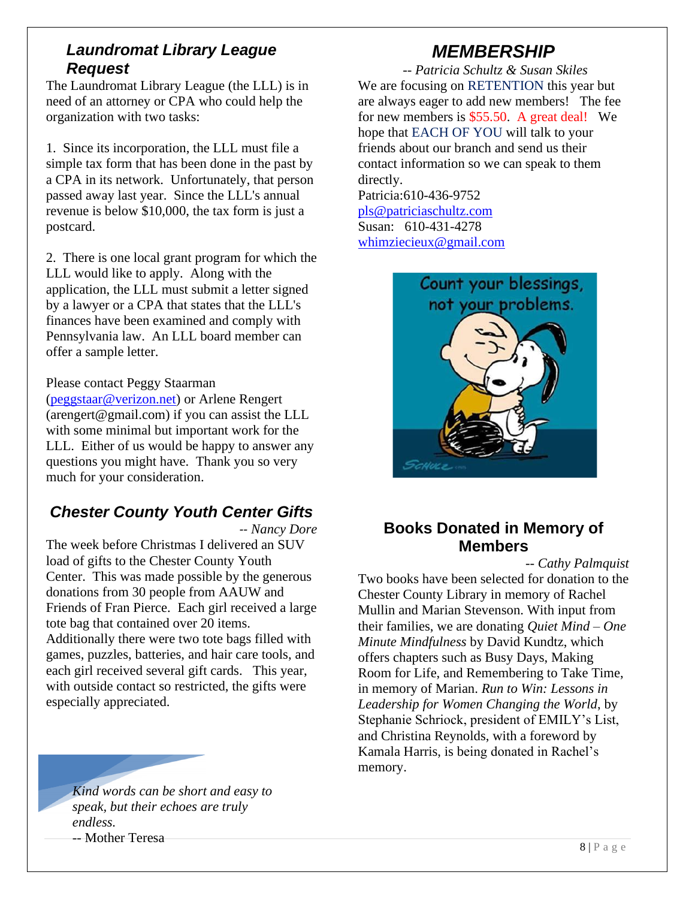#### *Laundromat Library League Request*

The Laundromat Library League (the LLL) is in need of an attorney or CPA who could help the organization with two tasks:

1. Since its incorporation, the LLL must file a simple tax form that has been done in the past by a CPA in its network. Unfortunately, that person passed away last year. Since the LLL's annual revenue is below \$10,000, the tax form is just a postcard.

2. There is one local grant program for which the LLL would like to apply. Along with the application, the LLL must submit a letter signed by a lawyer or a CPA that states that the LLL's finances have been examined and comply with Pennsylvania law. An LLL board member can offer a sample letter.

#### Please contact Peggy Staarman

(peggstaar@verizon.net) or Arlene Rengert (arengert@gmail.com) if you can assist the LLL with some minimal but important work for the LLL. Either of us would be happy to answer any questions you might have. Thank you so very much for your consideration.

#### *Chester County Youth Center Gifts*

*-- Nancy Dore*

The week before Christmas I delivered an SUV load of gifts to the Chester County Youth Center. This was made possible by the generous donations from 30 people from AAUW and Friends of Fran Pierce. Each girl received a large tote bag that contained over 20 items. Additionally there were two tote bags filled with games, puzzles, batteries, and hair care tools, and each girl received several gift cards. This year, with outside contact so restricted, the gifts were especially appreciated.

*Kind words can be short and easy to speak, but their echoes are truly endless.* -- Mother Teresa

# *MEMBERSHIP*

*-- Patricia Schultz & Susan Skiles* We are focusing on RETENTION this year but are always eager to add new members! The fee for new members is \$55.50. A great deal! We hope that EACH OF YOU will talk to your friends about our branch and send us their contact information so we can speak to them directly.

Patricia:610-436-9752 pls@patriciaschultz.com Susan: 610-431-4278 whimziecieux@gmail.com



#### **Books Donated in Memory of Members**

*-- Cathy Palmquist*

Two books have been selected for donation to the Chester County Library in memory of Rachel Mullin and Marian Stevenson. With input from their families, we are donating *Quiet Mind – One Minute Mindfulness* by David Kundtz, which offers chapters such as Busy Days, Making Room for Life, and Remembering to Take Time, in memory of Marian. *Run to Win: Lessons in Leadership for Women Changing the World*, by Stephanie Schriock, president of EMILY's List, and Christina Reynolds, with a foreword by Kamala Harris, is being donated in Rachel's memory.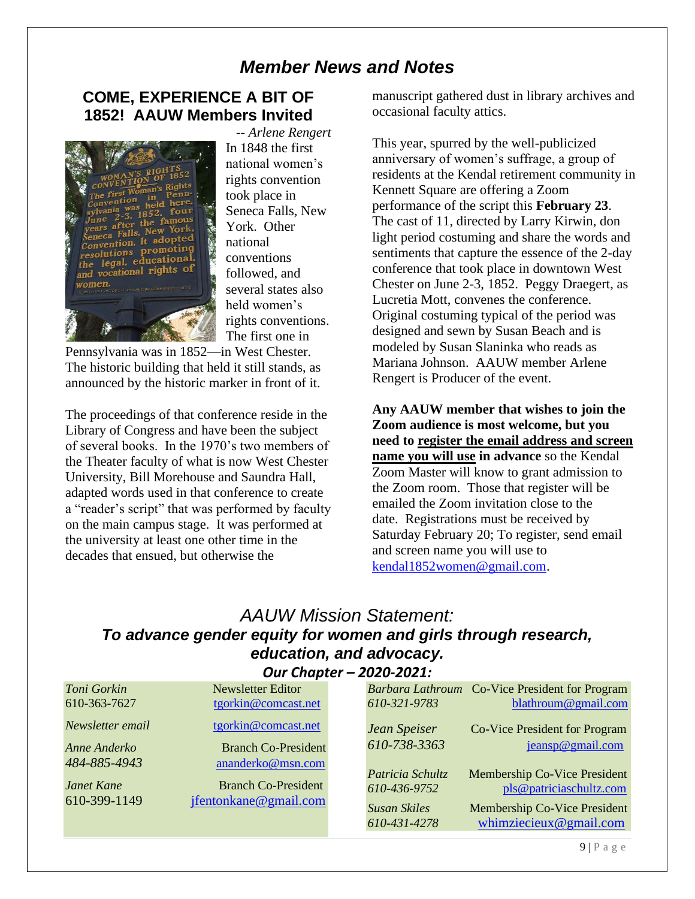### *Member News and Notes*

#### **COME, EXPERIENCE A BIT OF 1852! AAUW Members Invited**



*-- Arlene Rengert* In 1848 the first national women's rights convention took place in Seneca Falls, New York. Other national conventions followed, and several states also held women's rights conventions. The first one in

Pennsylvania was in 1852—in West Chester. The historic building that held it still stands, as announced by the historic marker in front of it.

The proceedings of that conference reside in the Library of Congress and have been the subject of several books. In the 1970's two members of the Theater faculty of what is now West Chester University, Bill Morehouse and Saundra Hall, adapted words used in that conference to create a "reader's script" that was performed by faculty on the main campus stage. It was performed at the university at least one other time in the decades that ensued, but otherwise the

manuscript gathered dust in library archives and occasional faculty attics.

This year, spurred by the well-publicized anniversary of women's suffrage, a group of residents at the Kendal retirement community in Kennett Square are offering a Zoom performance of the script this **February 23**. The cast of 11, directed by Larry Kirwin, don light period costuming and share the words and sentiments that capture the essence of the 2-day conference that took place in downtown West Chester on June 2-3, 1852. Peggy Draegert, as Lucretia Mott, convenes the conference. Original costuming typical of the period was designed and sewn by Susan Beach and is modeled by Susan Slaninka who reads as Mariana Johnson. AAUW member Arlene Rengert is Producer of the event.

**Any AAUW member that wishes to join the Zoom audience is most welcome, but you need to register the email address and screen name you will use in advance** so the Kendal Zoom Master will know to grant admission to the Zoom room. Those that register will be emailed the Zoom invitation close to the date. Registrations must be received by Saturday February 20; To register, send email and screen name you will use to kendal1852women@gmail.com.

#### *AAUW Mission Statement: To advance gender equity for women and girls through research, education, and advocacy. Our Chapter – 2020-2021:*

| Toni Gorkin       | <b>Newsletter Editor</b>   |                     | Barbara Lathroum Co-Vice President for Program |
|-------------------|----------------------------|---------------------|------------------------------------------------|
| 610-363-7627      | tgorkin@comcast.net        | 610-321-9783        | blathroum@gmail.com                            |
| Newsletter email  | tgorkin@comcast.net        | Jean Speiser        | Co-Vice President for Program                  |
| Anne Anderko      | <b>Branch Co-President</b> | 610-738-3363        | jeansp@gmail.com                               |
| 484-885-4943      | ananderko@msn.com          |                     |                                                |
|                   |                            | Patricia Schultz    | <b>Membership Co-Vice President</b>            |
| <b>Janet Kane</b> | <b>Branch Co-President</b> | 610-436-9752        | pls@patriciaschultz.com                        |
| 610-399-1149      | jfentonkane@gmail.com      | <b>Susan Skiles</b> | Membership Co-Vice President                   |
|                   |                            | 610-431-4278        | whimziecieux@gmail.com                         |
|                   |                            |                     |                                                |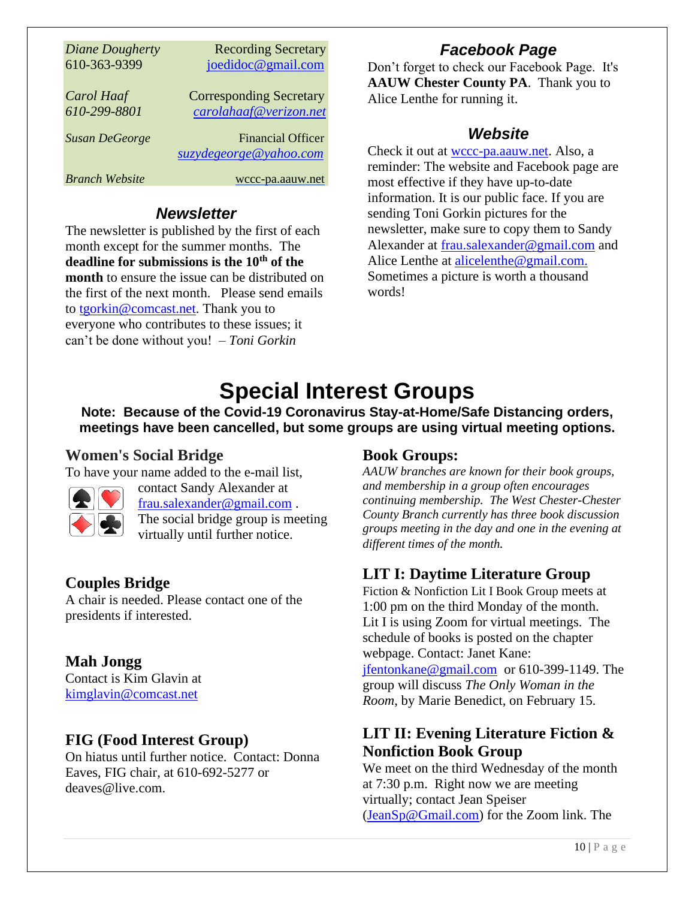| Diane Dougherty       | <b>Recording Secretary</b>     |
|-----------------------|--------------------------------|
| 610-363-9399          | joedidoc@gmail.com             |
|                       |                                |
| Carol Haaf            | <b>Corresponding Secretary</b> |
| 610-299-8801          | carolahaaf@verizon.net         |
|                       |                                |
| <b>Susan DeGeorge</b> | <b>Financial Officer</b>       |
|                       | suzydegeorge@yahoo.com         |
| <b>Branch Website</b> | wccc-pa.aauw.net               |

#### *Newsletter*

The newsletter is published by the first of each month except for the summer months. The **deadline for submissions is the 10th of the month** to ensure the issue can be distributed on the first of the next month. Please send emails to tgorkin@comcast.net. Thank you to everyone who contributes to these issues; it can't be done without you! – *Toni Gorkin*

## *Facebook Page*

Don't forget to check our Facebook Page. It's **AAUW Chester County PA**. Thank you to Alice Lenthe for running it.

### *Website*

Check it out at wccc-pa.aauw.net. Also, a reminder: The website and Facebook page are most effective if they have up-to-date information. It is our public face. If you are sending Toni Gorkin pictures for the newsletter, make sure to copy them to Sandy Alexander at frau.salexander@gmail.com and Alice Lenthe at alicelenthe@gmail.com. Sometimes a picture is worth a thousand words!

# **Special Interest Groups**

**Note: Because of the Covid-19 Coronavirus Stay-at-Home/Safe Distancing orders, meetings have been cancelled, but some groups are using virtual meeting options.** 

### **Women's Social Bridge**

To have your name added to the e-mail list,



contact Sandy Alexander at frau.salexander@gmail.com . The social bridge group is meeting virtually until further notice.

### **Couples Bridge**

A chair is needed. Please contact one of the presidents if interested.

### **Mah Jongg**

Contact is Kim Glavin at kimglavin@comcast.net

### **FIG (Food Interest Group)**

On hiatus until further notice. Contact: Donna Eaves, FIG chair, at 610-692-5277 or deaves@live.com.

#### **Book Groups:**

*AAUW branches are known for their book groups, and membership in a group often encourages continuing membership. The West Chester-Chester County Branch currently has three book discussion groups meeting in the day and one in the evening at different times of the month.* 

## **LIT I: Daytime Literature Group**

Fiction & Nonfiction Lit I Book Group meets at 1:00 pm on the third Monday of the month. Lit I is using Zoom for virtual meetings. The schedule of books is posted on the chapter webpage. Contact: Janet Kane: jfentonkane@gmail.com or 610-399-1149. The group will discuss *The Only Woman in the Room*, by Marie Benedict, on February 15.

### **LIT II: Evening Literature Fiction & Nonfiction Book Group**

We meet on the third Wednesday of the month at 7:30 p.m. Right now we are meeting virtually; contact Jean Speiser (JeanSp@Gmail.com) for the Zoom link. The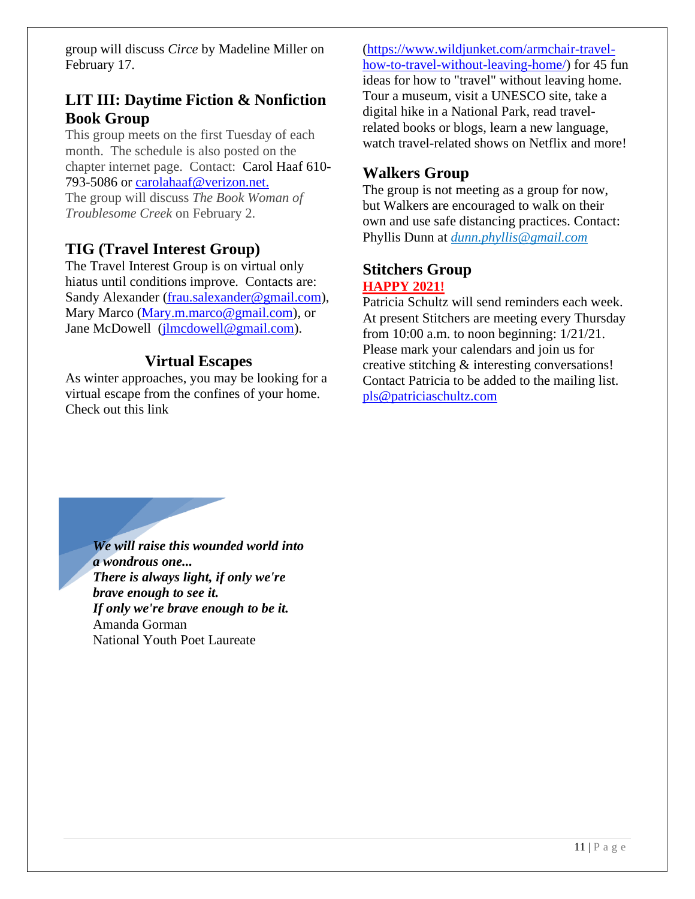group will discuss *Circe* by Madeline Miller on February 17.

#### **LIT III: Daytime Fiction & Nonfiction Book Group**

This group meets on the first Tuesday of each month. The schedule is also posted on the chapter internet page. Contact: Carol Haaf 610- 793-5086 or carolahaaf@verizon.net.

The group will discuss *The Book Woman of Troublesome Creek* on February 2.

#### **TIG (Travel Interest Group)**

The Travel Interest Group is on virtual only hiatus until conditions improve. Contacts are: Sandy Alexander (frau.salexander@gmail.com), Mary Marco (Mary.m.marco@gmail.com), or Jane McDowell (jlmcdowell@gmail.com).

#### **Virtual Escapes**

As winter approaches, you may be looking for a virtual escape from the confines of your home. Check out this link

(https://www.wildjunket.com/armchair-travelhow-to-travel-without-leaving-home/) for 45 fun ideas for how to "travel" without leaving home. Tour a museum, visit a UNESCO site, take a digital hike in a National Park, read travelrelated books or blogs, learn a new language, watch travel-related shows on Netflix and more!

#### **Walkers Group**

The group is not meeting as a group for now, but Walkers are encouraged to walk on their own and use safe distancing practices. Contact: Phyllis Dunn at *dunn.phyllis@gmail.com*

#### **Stitchers Group HAPPY 2021!**

Patricia Schultz will send reminders each week. At present Stitchers are meeting every Thursday from 10:00 a.m. to noon beginning: 1/21/21. Please mark your calendars and join us for creative stitching & interesting conversations! Contact Patricia to be added to the mailing list. pls@patriciaschultz.com

*We will raise this wounded world into a wondrous one... There is always light, if only we're brave enough to see it. If only we're brave enough to be it.* Amanda Gorman National Youth Poet Laureate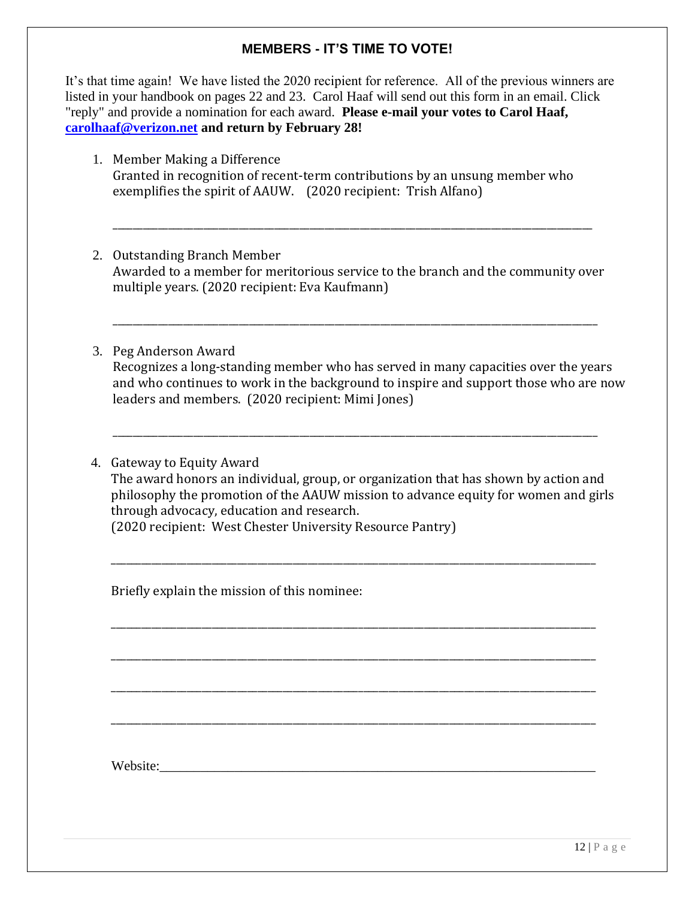#### **MEMBERS - IT'S TIME TO VOTE!**

It's that time again! We have listed the 2020 recipient for reference. All of the previous winners are listed in your handbook on pages 22 and 23. Carol Haaf will send out this form in an email. Click "reply" and provide a nomination for each award. **Please e-mail your votes to Carol Haaf, carolhaaf@verizon.net and return by February 28!**

- 1. Member Making a Difference Granted in recognition of recent-term contributions by an unsung member who exemplifies the spirit of AAUW. (2020 recipient: Trish Alfano)
- 2. Outstanding Branch Member Awarded to a member for meritorious service to the branch and the community over multiple years. (2020 recipient: Eva Kaufmann)

\_\_\_\_\_\_\_\_\_\_\_\_\_\_\_\_\_\_\_\_\_\_\_\_\_\_\_\_\_\_\_\_\_\_\_\_\_\_\_\_\_\_\_\_\_\_\_\_\_\_\_\_\_\_\_\_\_\_\_\_\_\_\_\_\_\_\_\_\_\_\_\_\_\_\_\_\_\_\_\_\_\_\_\_\_\_\_\_\_\_\_\_\_\_\_

3. Peg Anderson Award Recognizes a long-standing member who has served in many capacities over the years and who continues to work in the background to inspire and support those who are now leaders and members. (2020 recipient: Mimi Jones)

\_\_\_\_\_\_\_\_\_\_\_\_\_\_\_\_\_\_\_\_\_\_\_\_\_\_\_\_\_\_\_\_\_\_\_\_\_\_\_\_\_\_\_\_\_\_\_\_\_\_\_\_\_\_\_\_\_\_\_\_\_\_\_\_\_\_\_\_\_\_\_\_\_\_\_\_\_\_\_\_\_\_\_\_\_\_\_\_\_\_\_\_\_\_\_\_

4. Gateway to Equity Award The award honors an individual, group, or organization that has shown by action and philosophy the promotion of the AAUW mission to advance equity for women and girls through advocacy, education and research. (2020 recipient: West Chester University Resource Pantry)

\_\_\_\_\_\_\_\_\_\_\_\_\_\_\_\_\_\_\_\_\_\_\_\_\_\_\_\_\_\_\_\_\_\_\_\_\_\_\_\_\_\_\_\_\_\_\_\_\_\_\_\_\_\_\_\_\_\_\_\_\_\_\_\_\_\_\_\_\_\_\_\_\_\_\_\_\_\_\_\_\_\_\_\_\_\_\_\_\_\_\_\_\_\_\_\_

\_\_\_\_\_\_\_\_\_\_\_\_\_\_\_\_\_\_\_\_\_\_\_\_\_\_\_\_\_\_\_\_\_\_\_\_\_\_\_\_\_\_\_\_\_\_\_\_\_\_\_\_\_\_\_\_\_\_\_\_\_\_\_\_\_\_\_\_\_\_\_\_\_\_\_\_\_\_\_\_\_\_\_\_\_\_\_\_\_\_\_\_\_\_\_\_

\_\_\_\_\_\_\_\_\_\_\_\_\_\_\_\_\_\_\_\_\_\_\_\_\_\_\_\_\_\_\_\_\_\_\_\_\_\_\_\_\_\_\_\_\_\_\_\_\_\_\_\_\_\_\_\_\_\_\_\_\_\_\_\_\_\_\_\_\_\_\_\_\_\_\_\_\_\_\_\_\_\_\_\_\_\_\_\_\_\_\_\_\_\_\_\_

\_\_\_\_\_\_\_\_\_\_\_\_\_\_\_\_\_\_\_\_\_\_\_\_\_\_\_\_\_\_\_\_\_\_\_\_\_\_\_\_\_\_\_\_\_\_\_\_\_\_\_\_\_\_\_\_\_\_\_\_\_\_\_\_\_\_\_\_\_\_\_\_\_\_\_\_\_\_\_\_\_\_\_\_\_\_\_\_\_\_\_\_\_\_\_\_

\_\_\_\_\_\_\_\_\_\_\_\_\_\_\_\_\_\_\_\_\_\_\_\_\_\_\_\_\_\_\_\_\_\_\_\_\_\_\_\_\_\_\_\_\_\_\_\_\_\_\_\_\_\_\_\_\_\_\_\_\_\_\_\_\_\_\_\_\_\_\_\_\_\_\_\_\_\_\_\_\_\_\_\_\_\_\_\_\_\_\_\_\_\_\_\_

\_\_\_\_\_\_\_\_\_\_\_\_\_\_\_\_\_\_\_\_\_\_\_\_\_\_\_\_\_\_\_\_\_\_\_\_\_\_\_\_\_\_\_\_\_\_\_\_\_\_\_\_\_\_\_\_\_\_\_\_\_\_\_\_\_\_\_\_\_\_\_\_\_\_\_\_\_\_\_\_\_\_\_\_\_\_\_\_\_\_\_\_\_\_\_\_

Briefly explain the mission of this nominee:

Website: